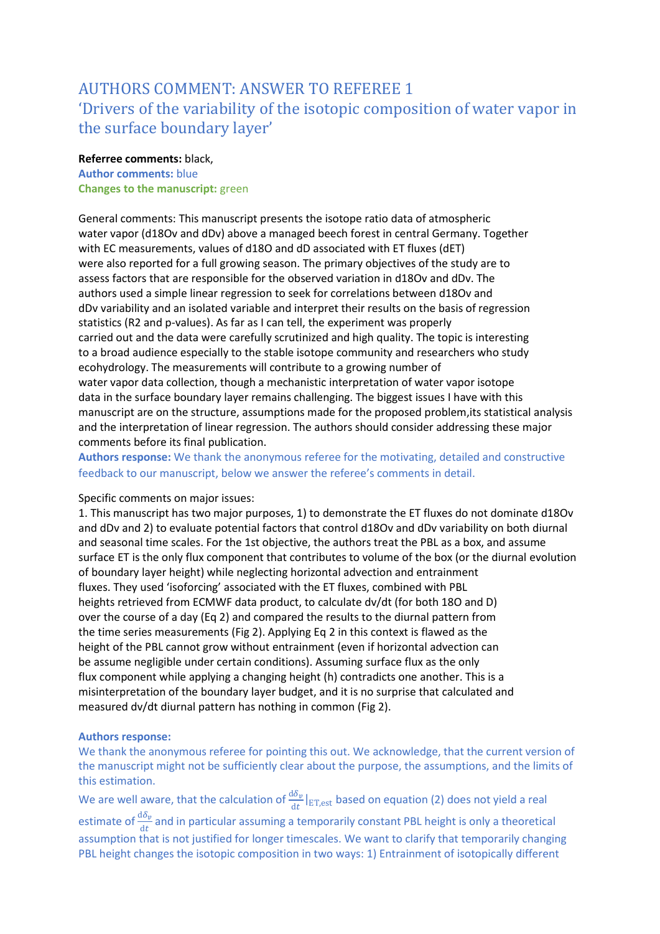# AUTHORS COMMENT: ANSWER TO REFEREE 1 'Drivers of the variability of the isotopic composition of water vapor in the surface boundary layer'

# **Referree comments:** black, **Author comments:** blue

**Changes to the manuscript:** green

General comments: This manuscript presents the isotope ratio data of atmospheric water vapor (d18Ov and dDv) above a managed beech forest in central Germany. Together with EC measurements, values of d18O and dD associated with ET fluxes (dET) were also reported for a full growing season. The primary objectives of the study are to assess factors that are responsible for the observed variation in d18Ov and dDv. The authors used a simple linear regression to seek for correlations between d18Ov and dDv variability and an isolated variable and interpret their results on the basis of regression statistics (R2 and p-values). As far as I can tell, the experiment was properly carried out and the data were carefully scrutinized and high quality. The topic is interesting to a broad audience especially to the stable isotope community and researchers who study ecohydrology. The measurements will contribute to a growing number of water vapor data collection, though a mechanistic interpretation of water vapor isotope data in the surface boundary layer remains challenging. The biggest issues I have with this manuscript are on the structure, assumptions made for the proposed problem,its statistical analysis and the interpretation of linear regression. The authors should consider addressing these major comments before its final publication.

**Authors response:** We thank the anonymous referee for the motivating, detailed and constructive feedback to our manuscript, below we answer the referee's comments in detail.

## Specific comments on major issues:

1. This manuscript has two major purposes, 1) to demonstrate the ET fluxes do not dominate d18Ov and dDv and 2) to evaluate potential factors that control d18Ov and dDv variability on both diurnal and seasonal time scales. For the 1st objective, the authors treat the PBL as a box, and assume surface ET is the only flux component that contributes to volume of the box (or the diurnal evolution of boundary layer height) while neglecting horizontal advection and entrainment fluxes. They used 'isoforcing' associated with the ET fluxes, combined with PBL heights retrieved from ECMWF data product, to calculate dv/dt (for both 18O and D) over the course of a day (Eq 2) and compared the results to the diurnal pattern from the time series measurements (Fig 2). Applying Eq 2 in this context is flawed as the height of the PBL cannot grow without entrainment (even if horizontal advection can be assume negligible under certain conditions). Assuming surface flux as the only flux component while applying a changing height (h) contradicts one another. This is a misinterpretation of the boundary layer budget, and it is no surprise that calculated and measured dv/dt diurnal pattern has nothing in common (Fig 2).

# **Authors response:**

We thank the anonymous referee for pointing this out. We acknowledge, that the current version of the manuscript might not be sufficiently clear about the purpose, the assumptions, and the limits of this estimation.

We are well aware, that the calculation of  $\frac{\mathrm{d}\delta_v}{\mathrm{d}t}|_{\mathrm{ET,est}}$  based on equation (2) does not yield a real estimate of  $\frac{d\delta_{\bm{v}}}{dt}$  and in particular assuming a temporarily constant PBL height is only a theoretical assumption that is not justified for longer timescales. We want to clarify that temporarily changing PBL height changes the isotopic composition in two ways: 1) Entrainment of isotopically different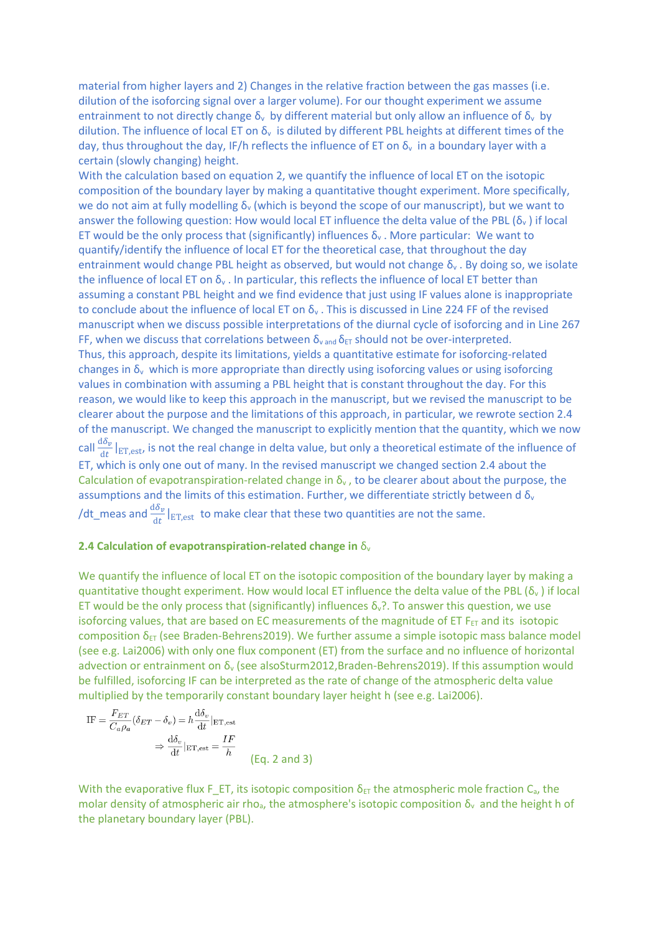material from higher layers and 2) Changes in the relative fraction between the gas masses (i.e. dilution of the isoforcing signal over a larger volume). For our thought experiment we assume entrainment to not directly change  $\delta_v$  by different material but only allow an influence of  $\delta_v$  by dilution. The influence of local ET on  $\delta_v$  is diluted by different PBL heights at different times of the day, thus throughout the day, IF/h reflects the influence of ET on  $\delta_{\rm v}$  in a boundary layer with a certain (slowly changing) height.

With the calculation based on equation 2, we quantify the influence of local ET on the isotopic composition of the boundary layer by making a quantitative thought experiment. More specifically, we do not aim at fully modelling  $\delta_y$  (which is beyond the scope of our manuscript), but we want to answer the following question: How would local ET influence the delta value of the PBL ( $\delta_{\rm v}$ ) if local ET would be the only process that (significantly) influences  $\delta_{v}$ . More particular: We want to quantify/identify the influence of local ET for the theoretical case, that throughout the day entrainment would change PBL height as observed, but would not change  $\delta_{v}$ . By doing so, we isolate the influence of local ET on  $\delta_y$ . In particular, this reflects the influence of local ET better than assuming a constant PBL height and we find evidence that just using IF values alone is inappropriate to conclude about the influence of local ET on  $\delta_{v}$ . This is discussed in Line 224 FF of the revised manuscript when we discuss possible interpretations of the diurnal cycle of isoforcing and in Line 267 FF, when we discuss that correlations between  $\delta_{\text{vand}}\delta_{\text{ET}}$  should not be over-interpreted. Thus, this approach, despite its limitations, yields a quantitative estimate for isoforcing-related changes in  $\delta_{v}$  which is more appropriate than directly using isoforcing values or using isoforcing values in combination with assuming a PBL height that is constant throughout the day. For this reason, we would like to keep this approach in the manuscript, but we revised the manuscript to be clearer about the purpose and the limitations of this approach, in particular, we rewrote section 2.4 of the manuscript. We changed the manuscript to explicitly mention that the quantity, which we now call  $\frac{d\delta_v}{dt}|_{ET,est}$ , is not the real change in delta value, but only a theoretical estimate of the influence of ET, which is only one out of many. In the revised manuscript we changed section 2.4 about the Calculation of evapotranspiration-related change in  $\delta_{v}$ , to be clearer about about the purpose, the assumptions and the limits of this estimation. Further, we differentiate strictly between d  $\delta_{v}$ /dt\_meas and  $\frac{d\delta_{\bm v}}{dt}|_{\text{ET,est}}$  to make clear that these two quantities are not the same.

#### **2.4 Calculation of evapotranspiration-related change in** δ<sup>v</sup>

We quantify the influence of local ET on the isotopic composition of the boundary layer by making a quantitative thought experiment. How would local ET influence the delta value of the PBL ( $\delta_v$ ) if local ET would be the only process that (significantly) influences  $\delta_{\rm v}$ ?. To answer this question, we use isoforcing values, that are based on EC measurements of the magnitude of ET  $F_{ET}$  and its isotopic composition  $\delta_{ET}$  (see Braden-Behrens2019). We further assume a simple isotopic mass balance model (see e.g. Lai2006) with only one flux component (ET) from the surface and no influence of horizontal advection or entrainment on δ<sub>v</sub> (see alsoSturm2012,Braden-Behrens2019). If this assumption would be fulfilled, isoforcing IF can be interpreted as the rate of change of the atmospheric delta value multiplied by the temporarily constant boundary layer height h (see e.g. Lai2006).

IF = 
$$
\frac{F_{ET}}{C_a \rho_a} (\delta_{ET} - \delta_v) = h \frac{d \delta_v}{dt} |_{ET, est}
$$
  
\n $\Rightarrow \frac{d \delta_v}{dt} |_{ET, est} = \frac{IF}{h}$  (Eq. 2 and 3)

With the evaporative flux F\_ET, its isotopic composition  $\delta_{E\text{T}}$  the atmospheric mole fraction C<sub>a</sub>, the molar density of atmospheric air rho<sub>a</sub>, the atmosphere's isotopic composition δ<sub>v</sub> and the height h of the planetary boundary layer (PBL).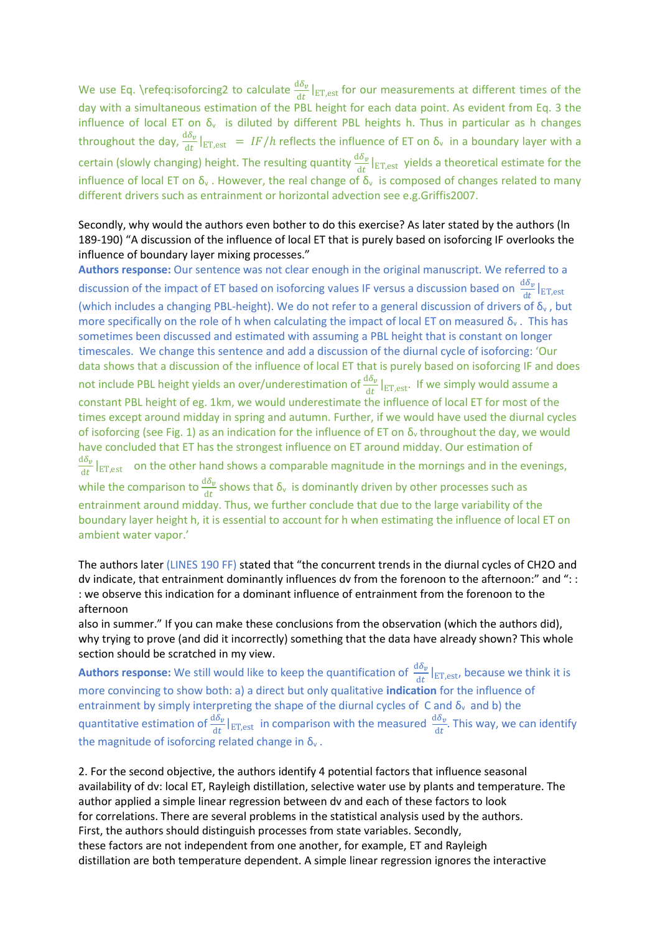We use Eq. \refeq:isoforcing2 to calculate  $\frac{d\delta_v}{dt}|_{ET,est}$  for our measurements at different times of the day with a simultaneous estimation of the PBL height for each data point. As evident from Eq. 3 the influence of local ET on  $\delta_v$  is diluted by different PBL heights h. Thus in particular as h changes throughout the day,  $\frac{d\delta_v}{dt}|_{ET,est} = IF/h$  reflects the influence of ET on  $\delta_v$  in a boundary layer with a certain (slowly changing) height. The resulting quantity  $\frac{d\delta_v}{dt}|_{ET,est}$  yields a theoretical estimate for the influence of local ET on  $\delta_{v}$ . However, the real change of  $\delta_{v}$  is composed of changes related to many different drivers such as entrainment or horizontal advection see e.g.Griffis2007.

# Secondly, why would the authors even bother to do this exercise? As later stated by the authors (ln 189-190) "A discussion of the influence of local ET that is purely based on isoforcing IF overlooks the influence of boundary layer mixing processes."

**Authors response:** Our sentence was not clear enough in the original manuscript. We referred to a discussion of the impact of ET based on isoforcing values IF versus a discussion based on  $\frac{d\delta_{\bm v}}{dt}|_{\rm ET, est}$ (which includes a changing PBL-height). We do not refer to a general discussion of drivers of  $\delta_{v}$ , but more specifically on the role of h when calculating the impact of local ET on measured  $\delta_{v}$ . This has sometimes been discussed and estimated with assuming a PBL height that is constant on longer timescales. We change this sentence and add a discussion of the diurnal cycle of isoforcing: 'Our data shows that a discussion of the influence of local ET that is purely based on isoforcing IF and does not include PBL height yields an over/underestimation of  $\frac{d\delta_v}{dt}|_{ET,est}$ . If we simply would assume a constant PBL height of eg. 1km, we would underestimate the influence of local ET for most of the times except around midday in spring and autumn. Further, if we would have used the diurnal cycles of isoforcing (see Fig. 1) as an indication for the influence of ET on  $\delta_{\rm v}$  throughout the day, we would have concluded that ET has the strongest influence on ET around midday. Our estimation of  $d\delta_{\pmb v}$  $\frac{d\sigma_{\nu}}{dt}|_{ET,est}$  on the other hand shows a comparable magnitude in the mornings and in the evenings, while the comparison to  $\frac{d\delta_{\bm v}}{dt}$  shows that  $\delta_{\rm v}$  is dominantly driven by other processes such as entrainment around midday. Thus, we further conclude that due to the large variability of the boundary layer height h, it is essential to account for h when estimating the influence of local ET on ambient water vapor.'

The authors later (LINES 190 FF) stated that "the concurrent trends in the diurnal cycles of CH2O and dv indicate, that entrainment dominantly influences dv from the forenoon to the afternoon:" and ": : : we observe this indication for a dominant influence of entrainment from the forenoon to the afternoon

also in summer." If you can make these conclusions from the observation (which the authors did), why trying to prove (and did it incorrectly) something that the data have already shown? This whole section should be scratched in my view.

**Authors response:** We still would like to keep the quantification of  $\frac{d\delta_v}{dt}|_{ET,est}$ , because we think it is more convincing to show both: a) a direct but only qualitative **indication** for the influence of entrainment by simply interpreting the shape of the diurnal cycles of C and  $\delta_{v}$  and b) the quantitative estimation of  $\frac{d\delta_v}{dt}|_{ET,est}$  in comparison with the measured  $\frac{d\delta_v}{dt}$ . This way, we can identify the magnitude of isoforcing related change in  $\delta_{v}$ .

2. For the second objective, the authors identify 4 potential factors that influence seasonal availability of dv: local ET, Rayleigh distillation, selective water use by plants and temperature. The author applied a simple linear regression between dv and each of these factors to look for correlations. There are several problems in the statistical analysis used by the authors. First, the authors should distinguish processes from state variables. Secondly, these factors are not independent from one another, for example, ET and Rayleigh distillation are both temperature dependent. A simple linear regression ignores the interactive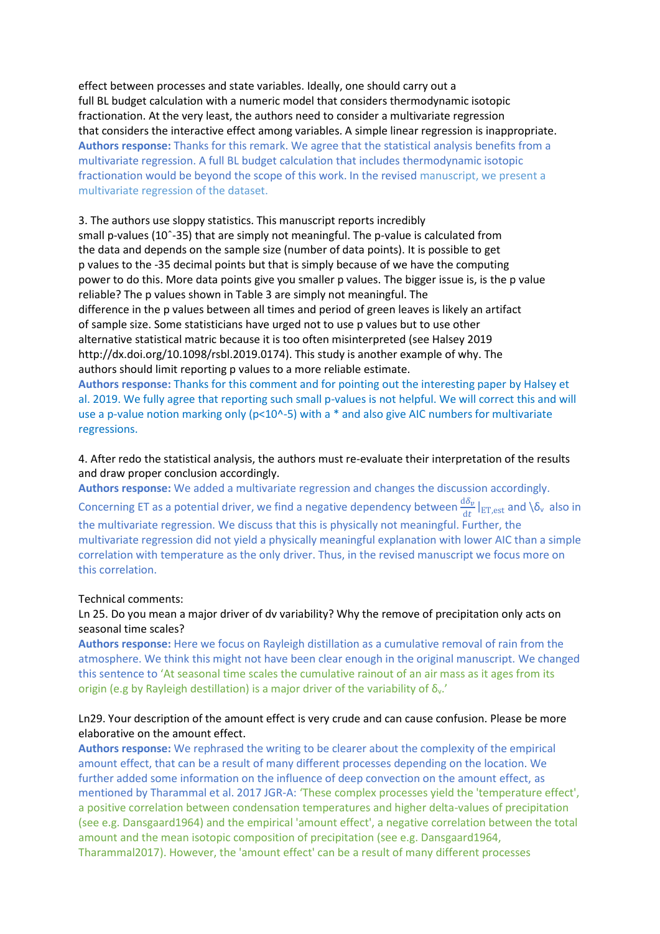effect between processes and state variables. Ideally, one should carry out a full BL budget calculation with a numeric model that considers thermodynamic isotopic fractionation. At the very least, the authors need to consider a multivariate regression that considers the interactive effect among variables. A simple linear regression is inappropriate. **Authors response:** Thanks for this remark. We agree that the statistical analysis benefits from a multivariate regression. A full BL budget calculation that includes thermodynamic isotopic fractionation would be beyond the scope of this work. In the revised manuscript, we present a multivariate regression of the dataset.

3. The authors use sloppy statistics. This manuscript reports incredibly small p-values (10ˆ-35) that are simply not meaningful. The p-value is calculated from the data and depends on the sample size (number of data points). It is possible to get p values to the -35 decimal points but that is simply because of we have the computing power to do this. More data points give you smaller p values. The bigger issue is, is the p value reliable? The p values shown in Table 3 are simply not meaningful. The difference in the p values between all times and period of green leaves is likely an artifact of sample size. Some statisticians have urged not to use p values but to use other alternative statistical matric because it is too often misinterpreted (see Halsey 2019 http://dx.doi.org/10.1098/rsbl.2019.0174). This study is another example of why. The authors should limit reporting p values to a more reliable estimate.

**Authors response:** Thanks for this comment and for pointing out the interesting paper by Halsey et al. 2019. We fully agree that reporting such small p-values is not helpful. We will correct this and will use a p-value notion marking only ( $p$ <10^-5) with a  $*$  and also give AIC numbers for multivariate regressions.

# 4. After redo the statistical analysis, the authors must re-evaluate their interpretation of the results and draw proper conclusion accordingly.

**Authors response:** We added a multivariate regression and changes the discussion accordingly. Concerning ET as a potential driver, we find a negative dependency between  $\frac{d\delta_v}{dt}\big|_{E T, e s t}$  and  $\setminus \delta_v$  also in the multivariate regression. We discuss that this is physically not meaningful. Further, the multivariate regression did not yield a physically meaningful explanation with lower AIC than a simple correlation with temperature as the only driver. Thus, in the revised manuscript we focus more on this correlation.

## Technical comments:

# Ln 25. Do you mean a major driver of dv variability? Why the remove of precipitation only acts on seasonal time scales?

**Authors response:** Here we focus on Rayleigh distillation as a cumulative removal of rain from the atmosphere. We think this might not have been clear enough in the original manuscript. We changed this sentence to 'At seasonal time scales the cumulative rainout of an air mass as it ages from its origin (e.g by Rayleigh destillation) is a major driver of the variability of  $\delta_{v}$ .'

# Ln29. Your description of the amount effect is very crude and can cause confusion. Please be more elaborative on the amount effect.

**Authors response:** We rephrased the writing to be clearer about the complexity of the empirical amount effect, that can be a result of many different processes depending on the location. We further added some information on the influence of deep convection on the amount effect, as mentioned by Tharammal et al. 2017 JGR-A: 'These complex processes yield the 'temperature effect', a positive correlation between condensation temperatures and higher delta-values of precipitation (see e.g. Dansgaard1964) and the empirical 'amount effect', a negative correlation between the total amount and the mean isotopic composition of precipitation (see e.g. Dansgaard1964, Tharammal2017). However, the 'amount effect' can be a result of many different processes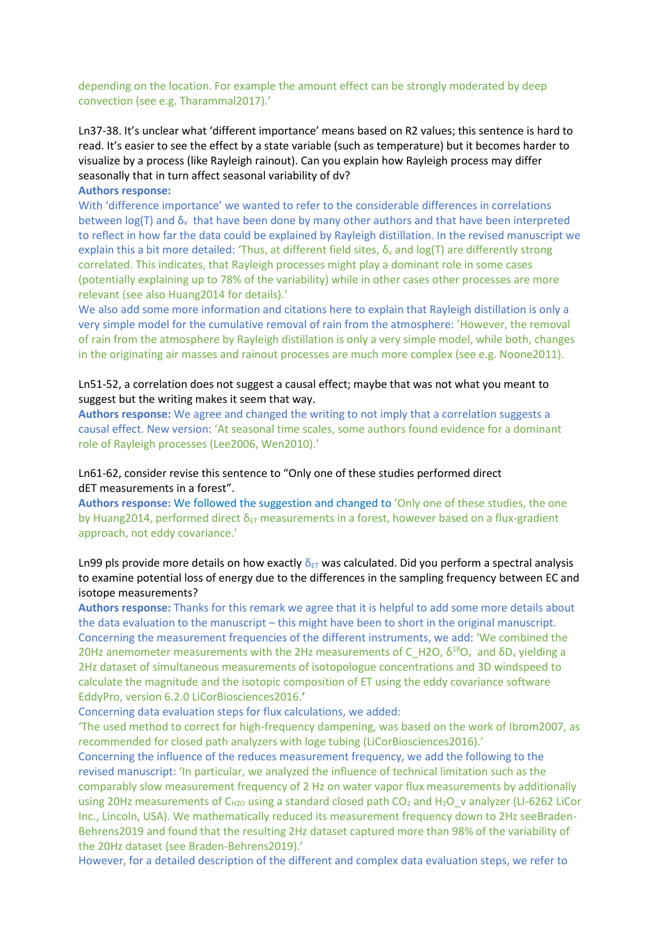## depending on the location. For example the amount effect can be strongly moderated by deep convection (see e.g. Tharammal2017).'

Ln37-38. It's unclear what 'different importance' means based on R2 values; this sentence is hard to read. It's easier to see the effect by a state variable (such as temperature) but it becomes harder to visualize by a process (like Rayleigh rainout). Can you explain how Rayleigh process may differ seasonally that in turn affect seasonal variability of dv?

#### **Authors response:**

With 'difference importance' we wanted to refer to the considerable differences in correlations between  $log(T)$  and  $\delta_{v}$  that have been done by many other authors and that have been interpreted to reflect in how far the data could be explained by Rayleigh distillation. In the revised manuscript we explain this a bit more detailed: 'Thus, at different field sites,  $\delta_{\rm v}$  and log(T) are differently strong correlated. This indicates, that Rayleigh processes might play a dominant role in some cases (potentially explaining up to 78% of the variability) while in other cases other processes are more relevant (see also Huang2014 for details).'

We also add some more information and citations here to explain that Rayleigh distillation is only a very simple model for the cumulative removal of rain from the atmosphere: 'However, the removal of rain from the atmosphere by Rayleigh distillation is only a very simple model, while both, changes in the originating air masses and rainout processes are much more complex (see e.g. Noone2011).

# Ln51-52, a correlation does not suggest a causal effect; maybe that was not what you meant to suggest but the writing makes it seem that way.

**Authors response:** We agree and changed the writing to not imply that a correlation suggests a causal effect. New version: 'At seasonal time scales, some authors found evidence for a dominant role of Rayleigh processes (Lee2006, Wen2010).'

# Ln61-62, consider revise this sentence to "Only one of these studies performed direct dET measurements in a forest".

**Authors response:** We followed the suggestion and changed to 'Only one of these studies, the one by Huang2014, performed direct  $\delta_{ET}$  measurements in a forest, however based on a flux-gradient approach, not eddy covariance.'

# Ln99 pls provide more details on how exactly  $\delta_{ET}$  was calculated. Did you perform a spectral analysis to examine potential loss of energy due to the differences in the sampling frequency between EC and isotope measurements?

**Authors response:** Thanks for this remark we agree that it is helpful to add some more details about the data evaluation to the manuscript – this might have been to short in the original manuscript. Concerning the measurement frequencies of the different instruments, we add: 'We combined the 20Hz anemometer measurements with the 2Hz measurements of  $C_H$ 20,  $\delta^{18}O_v$  and  $\delta D_v$  yielding a 2Hz dataset of simultaneous measurements of isotopologue concentrations and 3D windspeed to calculate the magnitude and the isotopic composition of ET using the eddy covariance software EddyPro, version 6.2.0 LiCorBiosciences2016.**'**

Concerning data evaluation steps for flux calculations, we added:

'The used method to correct for high-frequency dampening, was based on the work of Ibrom2007, as recommended for closed path analyzers with loge tubing (LiCorBiosciences2016).'

Concerning the influence of the reduces measurement frequency, we add the following to the revised manuscript: 'In particular, we analyzed the influence of technical limitation such as the comparably slow measurement frequency of 2 Hz on water vapor flux measurements by additionally using 20Hz measurements of C<sub>H2O</sub> using a standard closed path CO<sub>2</sub> and H<sub>2</sub>O v analyzer (LI-6262 LiCor Inc., Lincoln, USA). We mathematically reduced its measurement frequency down to 2Hz seeBraden-Behrens2019 and found that the resulting 2Hz dataset captured more than 98% of the variability of the 20Hz dataset (see Braden-Behrens2019).'

However, for a detailed description of the different and complex data evaluation steps, we refer to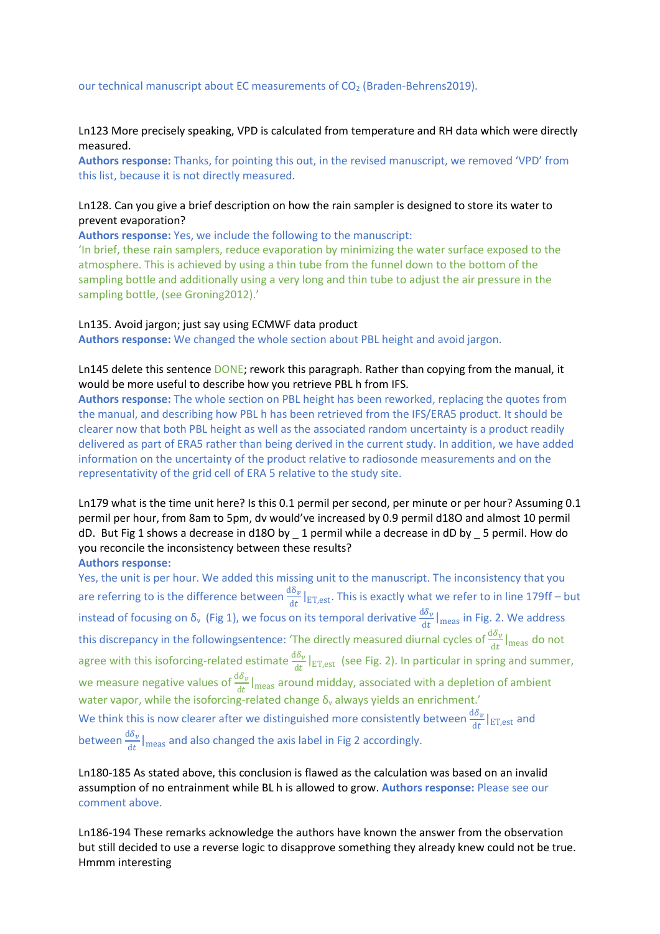# Ln123 More precisely speaking, VPD is calculated from temperature and RH data which were directly measured.

**Authors response:** Thanks, for pointing this out, in the revised manuscript, we removed 'VPD' from this list, because it is not directly measured.

# Ln128. Can you give a brief description on how the rain sampler is designed to store its water to prevent evaporation?

**Authors response:** Yes, we include the following to the manuscript:

'In brief, these rain samplers, reduce evaporation by minimizing the water surface exposed to the atmosphere. This is achieved by using a thin tube from the funnel down to the bottom of the sampling bottle and additionally using a very long and thin tube to adjust the air pressure in the sampling bottle, (see Groning2012).'

#### Ln135. Avoid jargon; just say using ECMWF data product

**Authors response:** We changed the whole section about PBL height and avoid jargon.

Ln145 delete this sentence DONE; rework this paragraph. Rather than copying from the manual, it would be more useful to describe how you retrieve PBL h from IFS.

**Authors response:** The whole section on PBL height has been reworked, replacing the quotes from the manual, and describing how PBL h has been retrieved from the IFS/ERA5 product. It should be clearer now that both PBL height as well as the associated random uncertainty is a product readily delivered as part of ERA5 rather than being derived in the current study. In addition, we have added information on the uncertainty of the product relative to radiosonde measurements and on the representativity of the grid cell of ERA 5 relative to the study site.

Ln179 what is the time unit here? Is this 0.1 permil per second, per minute or per hour? Assuming 0.1 permil per hour, from 8am to 5pm, dv would've increased by 0.9 permil d18O and almost 10 permil dD. But Fig 1 shows a decrease in d18O by \_ 1 permil while a decrease in dD by \_ 5 permil. How do you reconcile the inconsistency between these results?

## **Authors response:**

Yes, the unit is per hour. We added this missing unit to the manuscript. The inconsistency that you are referring to is the difference between  $\frac{d\delta_v}{dt}|_{ET,est}$ . This is exactly what we refer to in line 179ff – but instead of focusing on  $\delta_v$  (Fig 1), we focus on its temporal derivative  $\frac{d\delta_v}{dt}|_{\text{meas}}$  in Fig. 2. We address this discrepancy in the followingsentence: 'The directly measured diurnal cycles of  $\frac{d\delta_{\bm v}}{dt}\big|_\text{meas}$  do not agree with this isoforcing-related estimate  $\frac{d\delta_v}{dt}|_{ET,est}$  (see Fig. 2). In particular in spring and summer, we measure negative values of  $\frac{d\delta_v}{dt}|_{\text{meas}}$  around midday, associated with a depletion of ambient water vapor, while the isoforcing-related change  $\delta_v$  always yields an enrichment.' We think this is now clearer after we distinguished more consistently between  $\frac{d\delta_v}{dt} |_{\text{ET,est}}$  and between  $\frac{d\delta_{\nu}}{dt}|_{\text{meas}}$  and also changed the axis label in Fig 2 accordingly.

Ln180-185 As stated above, this conclusion is flawed as the calculation was based on an invalid assumption of no entrainment while BL h is allowed to grow. **Authors response:** Please see our comment above.

Ln186-194 These remarks acknowledge the authors have known the answer from the observation but still decided to use a reverse logic to disapprove something they already knew could not be true. Hmmm interesting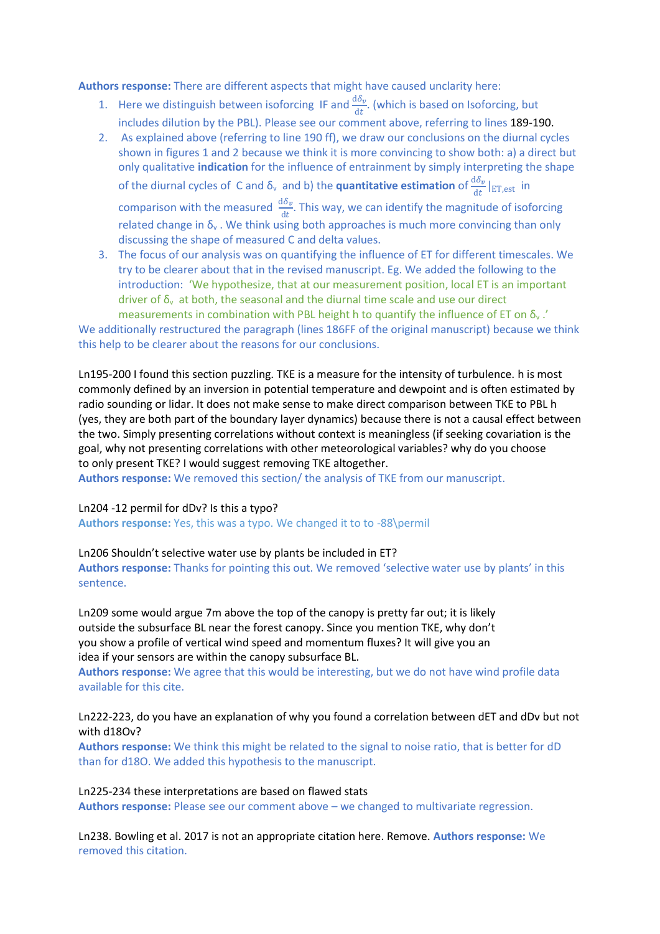**Authors response:** There are different aspects that might have caused unclarity here:

- 1. Here we distinguish between isoforcing IF and  $\frac{d\delta_v}{dt}$ . (which is based on Isoforcing, but includes dilution by the PBL). Please see our comment above, referring to lines 189-190.
- 2. As explained above (referring to line 190 ff), we draw our conclusions on the diurnal cycles shown in figures 1 and 2 because we think it is more convincing to show both: a) a direct but only qualitative **indication** for the influence of entrainment by simply interpreting the shape of the diurnal cycles of C and δ<sub>v</sub> and b) the **quantitative estimation** of  $\frac{dδ_v}{dt}$  |<sub>ET,est</sub> in comparison with the measured  $\frac{d\delta_{\nu}}{dt}$ . This way, we can identify the magnitude of isoforcing related change in  $\delta_y$ . We think using both approaches is much more convincing than only discussing the shape of measured C and delta values.
- 3. The focus of our analysis was on quantifying the influence of ET for different timescales. We try to be clearer about that in the revised manuscript. Eg. We added the following to the introduction: 'We hypothesize, that at our measurement position, local ET is an important driver of  $\delta_{v}$  at both, the seasonal and the diurnal time scale and use our direct

measurements in combination with PBL height h to quantify the influence of ET on  $\delta_{v}$ .' We additionally restructured the paragraph (lines 186FF of the original manuscript) because we think this help to be clearer about the reasons for our conclusions.

Ln195-200 I found this section puzzling. TKE is a measure for the intensity of turbulence. h is most commonly defined by an inversion in potential temperature and dewpoint and is often estimated by radio sounding or lidar. It does not make sense to make direct comparison between TKE to PBL h (yes, they are both part of the boundary layer dynamics) because there is not a causal effect between the two. Simply presenting correlations without context is meaningless (if seeking covariation is the goal, why not presenting correlations with other meteorological variables? why do you choose to only present TKE? I would suggest removing TKE altogether.

**Authors response:** We removed this section/ the analysis of TKE from our manuscript.

#### Ln204 -12 permil for dDv? Is this a typo?

**Authors response:** Yes, this was a typo. We changed it to to -88\permil

#### Ln206 Shouldn't selective water use by plants be included in ET?

**Authors response:** Thanks for pointing this out. We removed 'selective water use by plants' in this sentence.

Ln209 some would argue 7m above the top of the canopy is pretty far out; it is likely outside the subsurface BL near the forest canopy. Since you mention TKE, why don't you show a profile of vertical wind speed and momentum fluxes? It will give you an idea if your sensors are within the canopy subsurface BL.

**Authors response:** We agree that this would be interesting, but we do not have wind profile data available for this cite.

## Ln222-223, do you have an explanation of why you found a correlation between dET and dDv but not with d18Ov?

**Authors response:** We think this might be related to the signal to noise ratio, that is better for dD than for d18O. We added this hypothesis to the manuscript.

## Ln225-234 these interpretations are based on flawed stats

**Authors response:** Please see our comment above – we changed to multivariate regression.

Ln238. Bowling et al. 2017 is not an appropriate citation here. Remove. **Authors response:** We removed this citation.